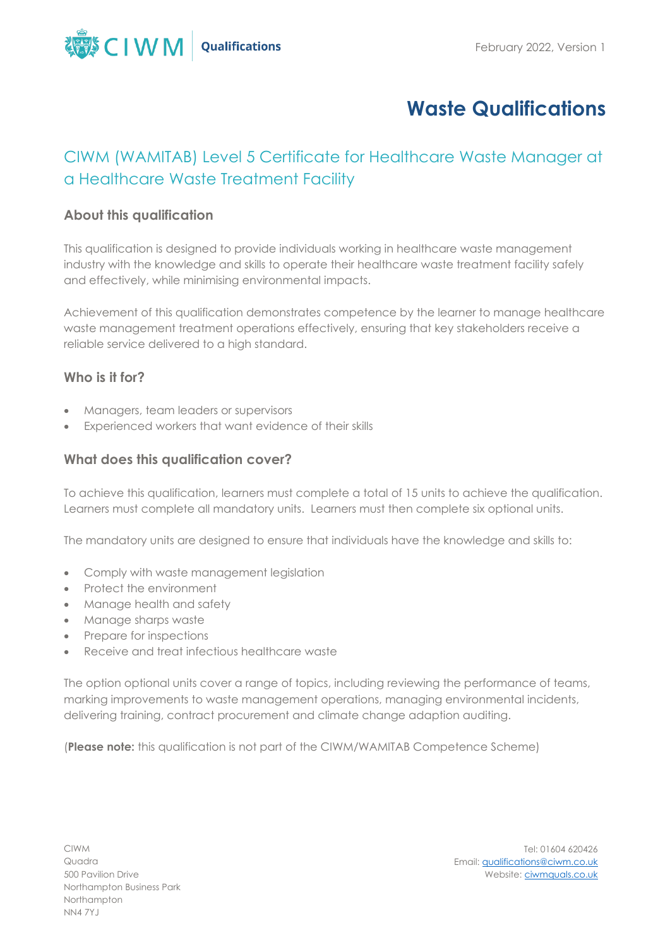

# **Waste Qualifications**

# CIWM (WAMITAB) Level 5 Certificate for Healthcare Waste Manager at a Healthcare Waste Treatment Facility

#### **About this qualification**

This qualification is designed to provide individuals working in healthcare waste management industry with the knowledge and skills to operate their healthcare waste treatment facility safely and effectively, while minimising environmental impacts.

Achievement of this qualification demonstrates competence by the learner to manage healthcare waste management treatment operations effectively, ensuring that key stakeholders receive a reliable service delivered to a high standard.

#### **Who is it for?**

- Managers, team leaders or supervisors
- Experienced workers that want evidence of their skills

#### **What does this qualification cover?**

To achieve this qualification, learners must complete a total of 15 units to achieve the qualification. Learners must complete all mandatory units. Learners must then complete six optional units.

The mandatory units are designed to ensure that individuals have the knowledge and skills to:

- Comply with waste management legislation
- Protect the environment
- Manage health and safety
- Manage sharps waste
- Prepare for inspections
- Receive and treat infectious healthcare waste

The option optional units cover a range of topics, including reviewing the performance of teams, marking improvements to waste management operations, managing environmental incidents, delivering training, contract procurement and climate change adaption auditing.

(**Please note:** this qualification is not part of the CIWM/WAMITAB Competence Scheme)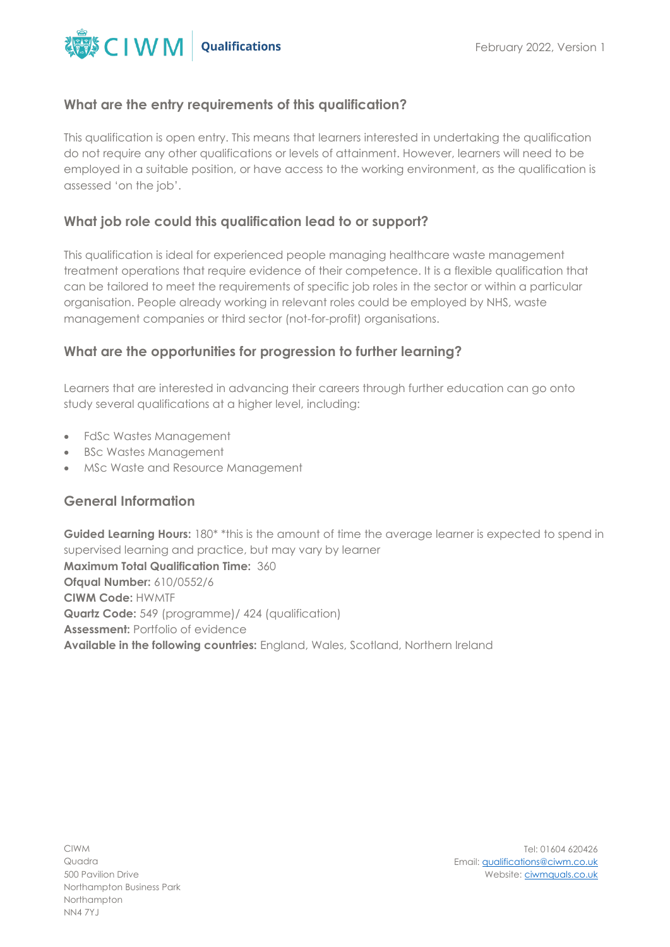

#### **What are the entry requirements of this qualification?**

This qualification is open entry. This means that learners interested in undertaking the qualification do not require any other qualifications or levels of attainment. However, learners will need to be employed in a suitable position, or have access to the working environment, as the qualification is assessed 'on the job'.

### **What job role could this qualification lead to or support?**

This qualification is ideal for experienced people managing healthcare waste management treatment operations that require evidence of their competence. It is a flexible qualification that can be tailored to meet the requirements of specific job roles in the sector or within a particular organisation. People already working in relevant roles could be employed by NHS, waste management companies or third sector (not-for-profit) organisations.

#### **What are the opportunities for progression to further learning?**

Learners that are interested in advancing their careers through further education can go onto study several qualifications at a higher level, including:

- FdSc Wastes Management
- BSc Wastes Management
- MSc Waste and Resource Management

## **General Information**

Guided Learning Hours: 180<sup>\*</sup> \*this is the amount of time the average learner is expected to spend in supervised learning and practice, but may vary by learner **Maximum Total Qualification Time:** 360 **Ofqual Number:** 610/0552/6 **CIWM Code:** HWMTF **Quartz Code:** 549 (programme)/ 424 (qualification) **Assessment:** Portfolio of evidence **Available in the following countries:** England, Wales, Scotland, Northern Ireland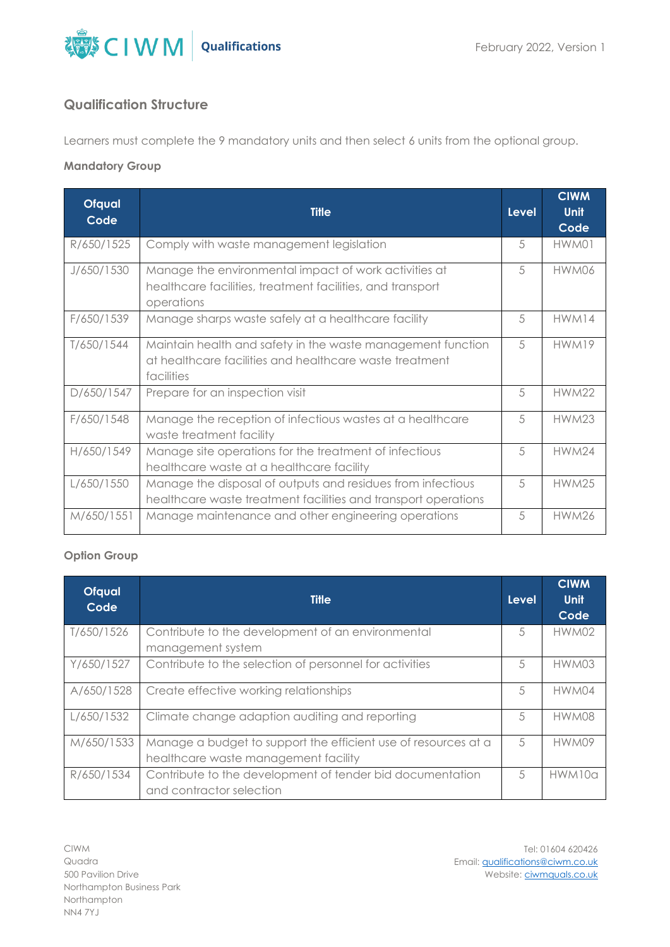

### **Qualification Structure**

Learners must complete the 9 mandatory units and then select 6 units from the optional group.

#### **Mandatory Group**

| <b>Ofqual</b><br>Code | <b>Title</b>                                                                                                                         | <b>Level</b> | <b>CIWM</b><br><b>Unit</b><br>Code |
|-----------------------|--------------------------------------------------------------------------------------------------------------------------------------|--------------|------------------------------------|
| R/650/1525            | Comply with waste management legislation                                                                                             | 5            | HWM01                              |
| J/650/1530            | Manage the environmental impact of work activities at<br>healthcare facilities, treatment facilities, and transport<br>operations    | 5            | HWM06                              |
| F/650/1539            | Manage sharps waste safely at a healthcare facility                                                                                  | 5            | HWM14                              |
| T/650/1544            | Maintain health and safety in the waste management function<br>at healthcare facilities and healthcare waste treatment<br>facilities | 5            | HWM19                              |
| D/650/1547            | Prepare for an inspection visit                                                                                                      | 5            | <b>HWM22</b>                       |
| F/650/1548            | Manage the reception of infectious wastes at a healthcare<br>waste treatment facility                                                | 5            | <b>HWM23</b>                       |
| H/650/1549            | Manage site operations for the treatment of infectious<br>healthcare waste at a healthcare facility                                  | 5            | <b>HWM24</b>                       |
| L/650/1550            | Manage the disposal of outputs and residues from infectious<br>healthcare waste treatment facilities and transport operations        | 5            | <b>HWM25</b>                       |
| M/650/1551            | Manage maintenance and other engineering operations                                                                                  | 5            | <b>HWM26</b>                       |

#### **Option Group**

| <b>Ofqual</b><br>Code | <b>Title</b>                                                                                           | Level | <b>CIWM</b><br>Unit<br>Code |
|-----------------------|--------------------------------------------------------------------------------------------------------|-------|-----------------------------|
| T/650/1526            | Contribute to the development of an environmental<br>management system                                 | 5     | HWM02                       |
| Y/650/1527            | Contribute to the selection of personnel for activities                                                | 5     | HWM03                       |
| A/650/1528            | Create effective working relationships                                                                 | 5     | HWM04                       |
| L/650/1532            | Climate change adaption auditing and reporting                                                         | 5     | HWM08                       |
| M/650/1533            | Manage a budget to support the efficient use of resources at a<br>healthcare waste management facility | 5     | HWM09                       |
| R/650/1534            | Contribute to the development of tender bid documentation<br>and contractor selection                  | 5     | HWM10a                      |